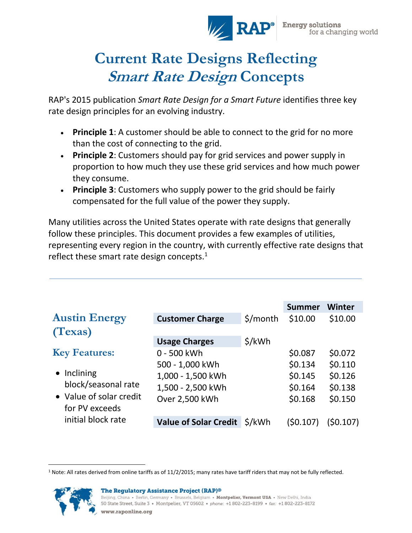

# **Current Rate Designs Reflecting Smart Rate Design Concepts**

RAP's 2015 publication *Smart Rate Design for a Smart Future* identifies three key rate design principles for an evolving industry.

- **Principle 1**: A customer should be able to connect to the grid for no more than the cost of connecting to the grid.
- **Principle 2**: Customers should pay for grid services and power supply in proportion to how much they use these grid services and how much power they consume.
- **Principle 3**: Customers who supply power to the grid should be fairly compensated for the full value of the power they supply.

Many utilities across the United States operate with rate designs that generally follow these principles. This document provides a few examples of utilities, representing every region in the country, with currently effective rate designs that reflect these smart rate design concepts.<sup>1</sup>

|                         |                              |          | <b>Summer</b> | Winter    |
|-------------------------|------------------------------|----------|---------------|-----------|
| <b>Austin Energy</b>    | <b>Customer Charge</b>       | \$/month | \$10.00       | \$10.00   |
| (Texas)                 |                              |          |               |           |
|                         | <b>Usage Charges</b>         | \$/kWh   |               |           |
| <b>Key Features:</b>    | 0 - 500 kWh                  |          | \$0.087       | \$0.072   |
|                         | 500 - 1,000 kWh              |          | \$0.134       | \$0.110   |
| • Inclining             | 1,000 - 1,500 kWh            |          | \$0.145       | \$0.126   |
| block/seasonal rate     | 1,500 - 2,500 kWh            |          | \$0.164       | \$0.138   |
| • Value of solar credit | Over 2,500 kWh               |          | \$0.168       | \$0.150   |
| for PV exceeds          |                              |          |               |           |
| initial block rate      | <b>Value of Solar Credit</b> | \$/kWh   | (\$0.107)     | (\$0.107) |

 $\overline{\phantom{a}}$ <sup>1</sup> Note: All rates derived from online tariffs as of 11/2/2015; many rates have tariff riders that may not be fully reflected.



Beijing, China • Berlin, Germany • Brussels, Belgium • Montpelier, Vermont USA • New Delhi, India 50 State Street, Suite 3 • Montpelier, VT 05602 • phone: +1 802-223-8199 • fax: +1 802-223-8172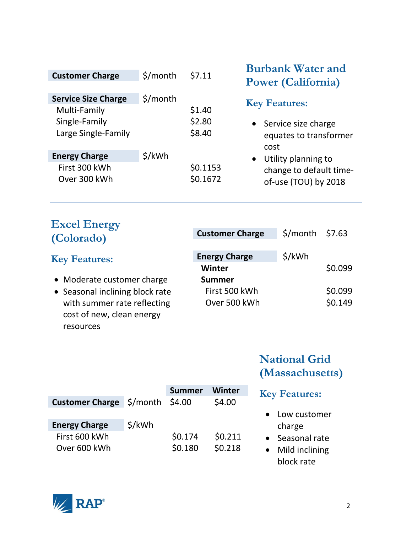| <b>Customer Charge</b>                                                             | \$/month | \$7.11                     |
|------------------------------------------------------------------------------------|----------|----------------------------|
| <b>Service Size Charge</b><br>Multi-Family<br>Single-Family<br>Large Single-Family | \$/month | \$1.40<br>\$2.80<br>\$8.40 |
| <b>Energy Charge</b><br>First 300 kWh<br>Over 300 kWh                              | \$/kWh   | \$0.1153<br>\$0.1672       |

#### **Burbank Water and Power (California)**

#### **Key Features:**

- Service size charge equates to transformer cost
- Utility planning to change to default timeof-use (TOU) by 2018

## **Excel Energy (Colorado)**

#### **Key Features:**

- Moderate customer charge
- Seasonal inclining block rate with summer rate reflecting cost of new, clean energy resources

| <b>Customer Charge</b> | $$/month$ \$7.63 |         |
|------------------------|------------------|---------|
| <b>Energy Charge</b>   | \$/kWh           |         |
| Winter                 |                  | \$0.099 |
| <b>Summer</b>          |                  |         |
| First 500 kWh          |                  | \$0.099 |
| Over 500 kWh           |                  | \$0.149 |
|                        |                  |         |

### **National Grid (Massachusetts)**

#### **Summer Winter Customer Charge**  $\frac{2}{3}$ /month \$4.00 \$4.00 **Energy Charge** \$/kWh First 600 kWh \$0.174 \$0.211 Over 600 kWh \$0.180 \$0.218 **Key Features:** Low customer charge • Seasonal rate • Mild inclining block rate

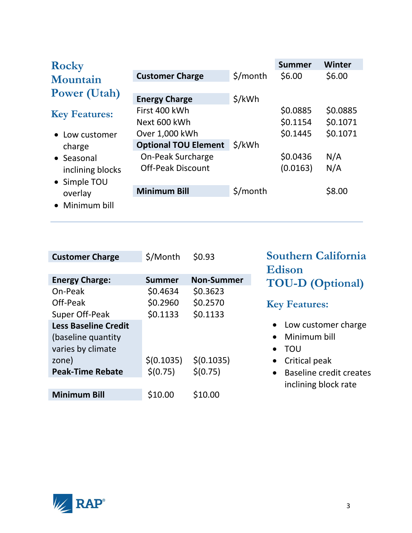| <b>Rocky</b>                                                                       |                                                                                                                                        |          | <b>Summer</b>                                            | Winter                                         |
|------------------------------------------------------------------------------------|----------------------------------------------------------------------------------------------------------------------------------------|----------|----------------------------------------------------------|------------------------------------------------|
| Mountain                                                                           | <b>Customer Charge</b>                                                                                                                 | \$/month | \$6.00                                                   | \$6.00                                         |
| <b>Power (Utah)</b>                                                                | <b>Energy Charge</b>                                                                                                                   | \$/kWh   |                                                          |                                                |
| <b>Key Features:</b><br>• Low customer<br>charge<br>• Seasonal<br>inclining blocks | First 400 kWh<br>Next 600 kWh<br>Over 1,000 kWh<br><b>Optional TOU Element</b><br><b>On-Peak Surcharge</b><br><b>Off-Peak Discount</b> | \$/kWh   | \$0.0885<br>\$0.1154<br>\$0.1445<br>\$0.0436<br>(0.0163) | \$0.0885<br>\$0.1071<br>\$0.1071<br>N/A<br>N/A |
| • Simple TOU<br>overlay<br>Minimum bill                                            | <b>Minimum Bill</b>                                                                                                                    | \$/month |                                                          | \$8.00                                         |

| <b>Customer Charge</b>      | \$/Month      | \$0.93            | <b>Southern California</b>           |
|-----------------------------|---------------|-------------------|--------------------------------------|
|                             |               |                   | <b>Edison</b>                        |
| <b>Energy Charge:</b>       | <b>Summer</b> | <b>Non-Summer</b> | <b>TOU-D</b> (Optional)              |
| On-Peak                     | \$0.4634      | \$0.3623          |                                      |
| Off-Peak                    | \$0.2960      | \$0.2570          | <b>Key Features:</b>                 |
| Super Off-Peak              | \$0.1133      | \$0.1133          |                                      |
| <b>Less Baseline Credit</b> |               |                   | Low customer charge                  |
| (baseline quantity)         |               |                   | Minimum bill                         |
| varies by climate           |               |                   | TOU<br>$\bullet$                     |
| zone)                       | \$(0.1035)    | \$(0.1035)        | Critical peak                        |
| <b>Peak-Time Rebate</b>     | \$(0.75)      | \$(0.75)          | Baseline credit creates<br>$\bullet$ |
|                             |               |                   | inclining block rate                 |
| <b>Minimum Bill</b>         | \$10.00       | \$10.00           |                                      |